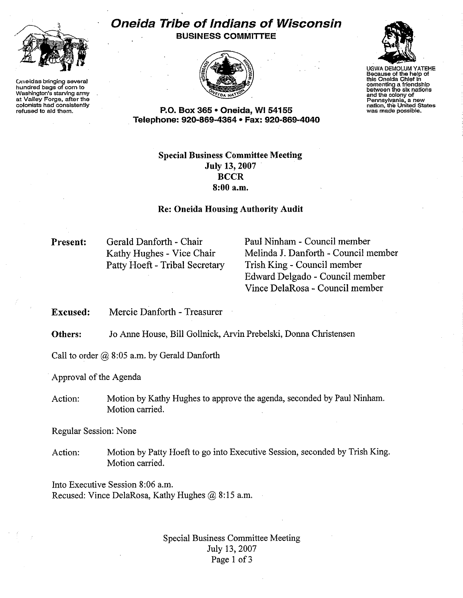

**Oneidas bringing several hundred bags of corn to Washington's starving army at Valley Forge, after the colonists had consistently refused to aid them.**

## **Oneida Tribe of Indians of Wisconsin BUSINESS COMMITTEE**





UGWA DEMOLUM YATEHE **Because of the help of this Oneida Chief In cementing a frlendshlp between the sixnations and the colony of Pennsylvania, a new nation, the Unjted States was made possible.**

**P.O. Box 365· Oneida,** WI 54155 **Telephone: 920·869·4364 • Fax: 920·869·4040**

## **Special Business Committee Meeting July 13, 2007 BCCR 8:00** a.m,

## **Re: Oneida Housing Authority Audit**

**Present:**

Gerald Danforth- Chair Kathy Hughes - Vice Chair Patty Hoeft - Tribal Secretary Paul Ninham - Council member Melinda J. Danforth - Council member Trish King - Council member Edward Delgado - Council member Vince DelaRosa - Council member

**Excused:** Mercie Danforth - Treasurer

**Others:** Jo Anne House, Bill Gollnick, Arvin Prebelski, Donna Christensen

Call to order  $@$  8:05 a.m. by Gerald Danforth

Approval of the Agenda

Action: Motion by Kathy Hughes to approve the agenda, seconded by Paul Ninham. Motion carried.

Regular Session: None

Action: Motion by Patty Hoeft to go into Executive Session, seconded by Trish King. Motion carried.

Into Executive Session 8:06 a.m. Recused: Vince DelaRosa, Kathy Hughes @ 8:15 a.m.

> Special Business Committee Meeting July 13, 2007 Page 1 of 3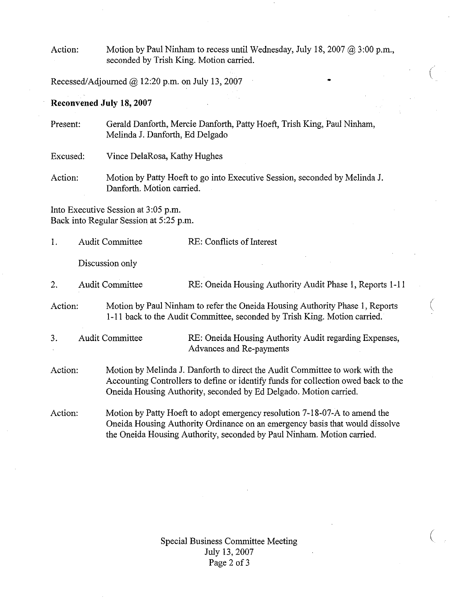Action: Motion by Paul Ninham to recess until Wednesday, July 18, 2007 @ 3:00 p.m., seconded by Trish King. Motion carried.

 $\bullet$  (  $\bullet$  ) and  $\bullet$  (  $\bullet$  ) and  $\bullet$  (

(

 $\big($ 

Recessed/Adjourned @ 12:20 p.m. on July 13,2007

## **Reconvened July 18, 2007**

Present: Gerald Danforth, Mercie Danforth, Patty Hoeft, Trish King, Paul Ninham, Melinda J. Danforth, Ed Delgado

Excused: Vince DelaRosa, Kathy Hughes

Action: Motion by Patty Hoeft to go into Executive Session, seconded by Melinda J. Danforth. Motion carried.

Into Executive Session at 3:05 p.m. Back into Regular Session at 5:25 p.m.

| 1.      | <b>Audit Committee</b> | RE: Conflicts of Interest                                                                                                                                                                                                               |
|---------|------------------------|-----------------------------------------------------------------------------------------------------------------------------------------------------------------------------------------------------------------------------------------|
|         | Discussion only        |                                                                                                                                                                                                                                         |
| 2.      | <b>Audit Committee</b> | RE: Oneida Housing Authority Audit Phase 1, Reports 1-11                                                                                                                                                                                |
| Action: |                        | Motion by Paul Ninham to refer the Oneida Housing Authority Phase 1, Reports<br>1-11 back to the Audit Committee, seconded by Trish King. Motion carried.                                                                               |
| 3.      | <b>Audit Committee</b> | RE: Oneida Housing Authority Audit regarding Expenses,<br>Advances and Re-payments                                                                                                                                                      |
| Action: |                        | Motion by Melinda J. Danforth to direct the Audit Committee to work with the<br>Accounting Controllers to define or identify funds for collection owed back to the<br>Oneida Housing Authority, seconded by Ed Delgado. Motion carried. |
| Action: |                        | Motion by Patty Hoeft to adopt emergency resolution 7-18-07-A to amend the<br>Oneida Housing Authority Ordinance on an emergency basis that would dissolve<br>the Oneida Housing Authority, seconded by Paul Ninham. Motion carried.    |